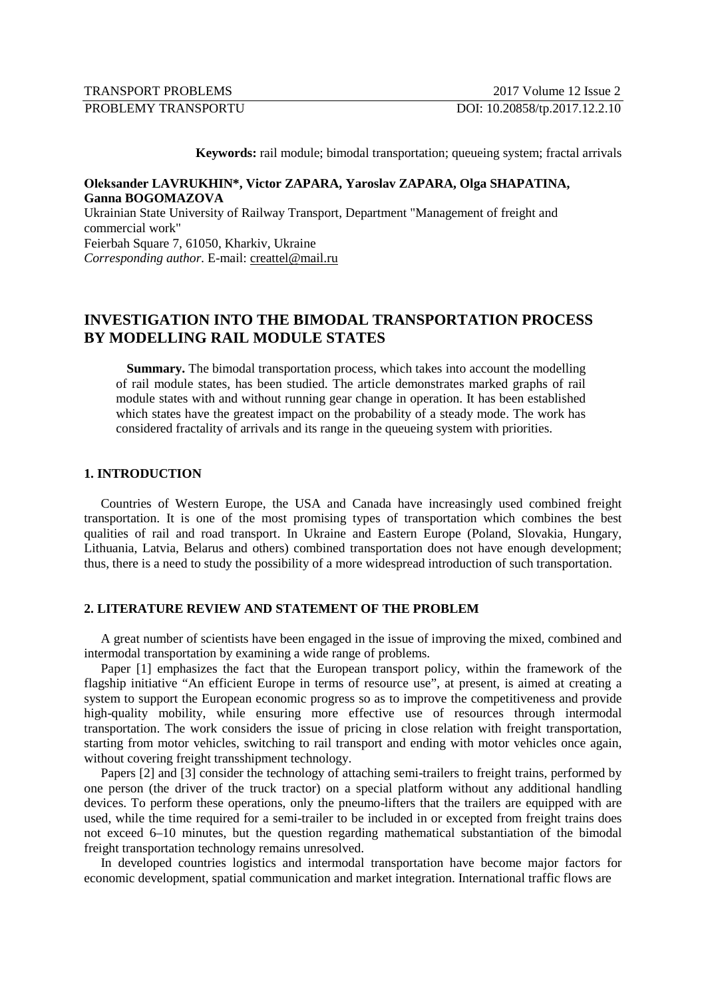**Keywords:** rail module; bimodal transportation; queueing system; fractal arrivals

# **Оleksander LAVRUKHIN\*, Victor ZAPARA, Yaroslav ZAPARA, Olga SHAPATINA, Ganna BOGOMAZOVA**

Ukrainian State University of Railway Transport, Department "Management of freight and commercial work" Feierbah Square 7, 61050, Kharkiv, Ukraine *Corresponding author.* E-mail: creattel@mail.ru

# **INVESTIGATION INTO THE BIMODAL TRANSPORTATION PROCESS BY MODELLING RAIL MODULE STATES**

**Summary.** The bimodal transportation process, which takes into account the modelling of rail module states, has been studied. The article demonstrates marked graphs of rail module states with and without running gear change in operation. It has been established which states have the greatest impact on the probability of a steady mode. The work has considered fractality of arrivals and its range in the queueing system with priorities.

# **1. INTRODUCTION**

Countries of Western Europe, the USA and Canada have increasingly used combined freight transportation. It is one of the most promising types of transportation which combines the best qualities of rail and road transport. In Ukraine and Eastern Europe (Poland, Slovakia, Hungary, Lithuania, Latvia, Belarus and others) combined transportation does not have enough development; thus, there is a need to study the possibility of a more widespread introduction of such transportation.

## **2. LITERATURE REVIEW AND STATEMENT OF THE PROBLEM**

A great number of scientists have been engaged in the issue of improving the mixed, combined and intermodal transportation by examining a wide range of problems.

Paper [1] emphasizes the fact that the European transport policy, within the framework of the flagship initiative "An efficient Europe in terms of resource use", at present, is aimed at creating a system to support the European economic progress so as to improve the competitiveness and provide high-quality mobility, while ensuring more effective use of resources through intermodal transportation. The work considers the issue of pricing in close relation with freight transportation, starting from motor vehicles, switching to rail transport and ending with motor vehicles once again, without covering freight transshipment technology.

Papers [2] and [3] consider the technology of attaching semi-trailers to freight trains, performed by one person (the driver of the truck tractor) on a special platform without any additional handling devices. To perform these operations, only the pneumo-lifters that the trailers are equipped with are used, while the time required for a semi-trailer to be included in or excepted from freight trains does not exceed 6–10 minutes, but the question regarding mathematical substantiation of the bimodal freight transportation technology remains unresolved.

In developed countries logistics and intermodal transportation have become major factors for economic development, spatial communication and market integration. International traffic flows are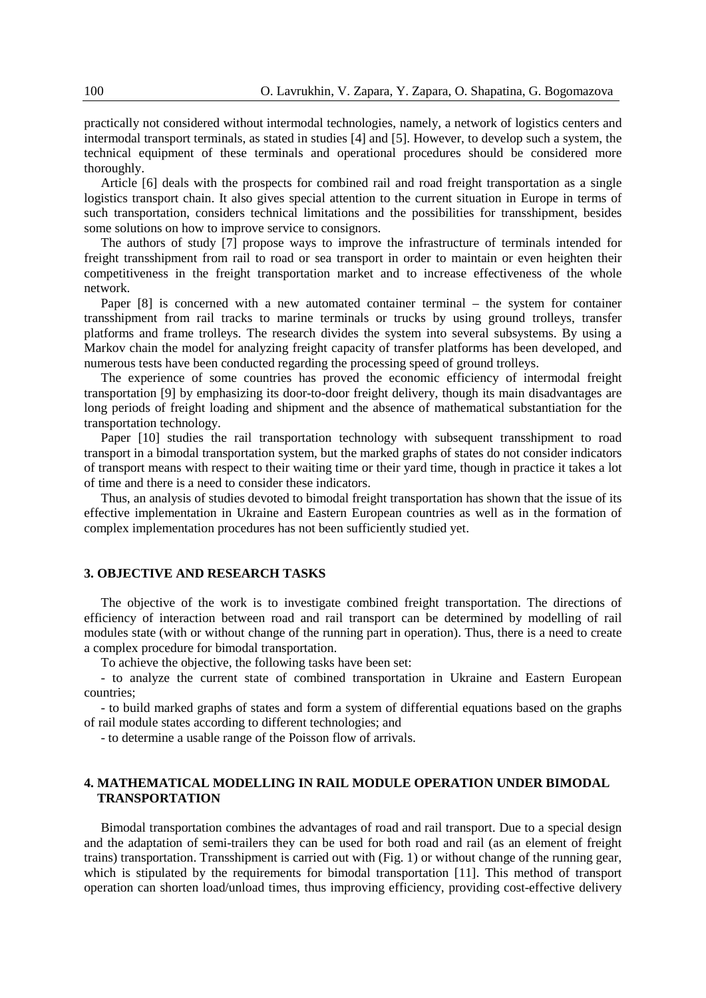practically not considered without intermodal technologies, namely, a network of logistics centers and intermodal transport terminals, as stated in studies [4] and [5]. However, to develop such a system, the technical equipment of these terminals and operational procedures should be considered more thoroughly.

Article [6] deals with the prospects for combined rail and road freight transportation as a single logistics transport chain. It also gives special attention to the current situation in Europe in terms of such transportation, considers technical limitations and the possibilities for transshipment, besides some solutions on how to improve service to consignors.

The authors of study [7] propose ways to improve the infrastructure of terminals intended for freight transshipment from rail to road or sea transport in order to maintain or even heighten their competitiveness in the freight transportation market and to increase effectiveness of the whole network.

Paper [8] is concerned with a new automated container terminal – the system for container transshipment from rail tracks to marine terminals or trucks by using ground trolleys, transfer platforms and frame trolleys. The research divides the system into several subsystems. By using a Markov chain the model for analyzing freight capacity of transfer platforms has been developed, and numerous tests have been conducted regarding the processing speed of ground trolleys.

The experience of some countries has proved the economic efficiency of intermodal freight transportation [9] by emphasizing its door-to-door freight delivery, though its main disadvantages are long periods of freight loading and shipment and the absence of mathematical substantiation for the transportation technology.

Paper [10] studies the rail transportation technology with subsequent transshipment to road transport in a bimodal transportation system, but the marked graphs of states do not consider indicators of transport means with respect to their waiting time or their yard time, though in practice it takes a lot of time and there is a need to consider these indicators.

Thus, an analysis of studies devoted to bimodal freight transportation has shown that the issue of its effective implementation in Ukraine and Eastern European countries as well as in the formation of complex implementation procedures has not been sufficiently studied yet.

#### **3. OBJECTIVE AND RESEARCH TASKS**

The objective of the work is to investigate combined freight transportation. The directions of efficiency of interaction between road and rail transport can be determined by modelling of rail modules state (with or without change of the running part in operation). Thus, there is a need to create a complex procedure for bimodal transportation.

To achieve the objective, the following tasks have been set:

- to analyze the current state of combined transportation in Ukraine and Eastern European countries;

- to build marked graphs of states and form a system of differential equations based on the graphs of rail module states according to different technologies; and

- to determine a usable range of the Poisson flow of arrivals.

#### **4. MATHEMATICAL MODELLING IN RAIL MODULE OPERATION UNDER BIMODAL TRANSPORTATION**

Bimodal transportation combines the advantages of road and rail transport. Due to a special design and the adaptation of semi-trailers they can be used for both road and rail (as an element of freight trains) transportation. Transshipment is carried out with (Fig. 1) or without change of the running gear, which is stipulated by the requirements for bimodal transportation [11]. This method of transport operation can shorten load/unload times, thus improving efficiency, providing cost-effective delivery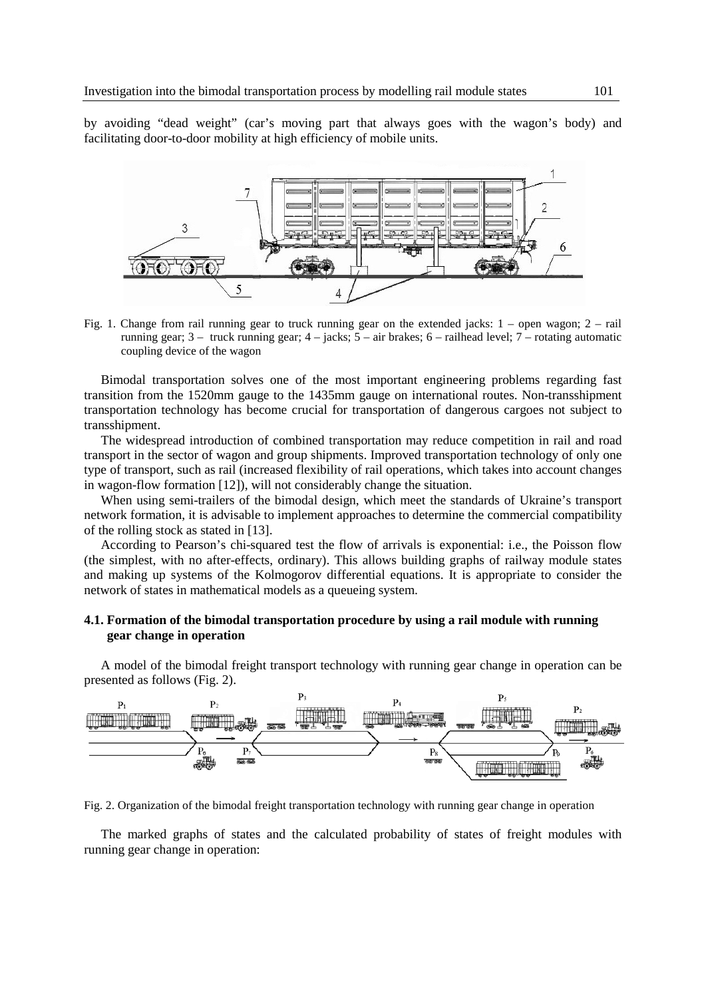by avoiding "dead weight" (car's moving part that always goes with the wagon's body) and facilitating door-to-door mobility at high efficiency of mobile units.



Fig. 1. Change from rail running gear to truck running gear on the extended jacks: 1 – open wagon; 2 – rail running gear; 3 – truck running gear; 4 – jacks; 5 – air brakes; 6 – railhead level; 7 – rotating automatic coupling device of the wagon

Bimodal transportation solves one of the most important engineering problems regarding fast transition from the 1520mm gauge to the 1435mm gauge on international routes. Non-transshipment transportation technology has become crucial for transportation of dangerous cargoes not subject to transshipment.

The widespread introduction of combined transportation may reduce competition in rail and road transport in the sector of wagon and group shipments. Improved transportation technology of only one type of transport, such as rail (increased flexibility of rail operations, which takes into account changes in wagon-flow formation [12]), will not considerably change the situation.

When using semi-trailers of the bimodal design, which meet the standards of Ukraine's transport network formation, it is advisable to implement approaches to determine the commercial compatibility of the rolling stock as stated in [13].

According to Pearson's chi-squared test the flow of arrivals is exponential: i.e., the Poisson flow (the simplest, with no after-effects, ordinary). This allows building graphs of railway module states and making up systems of the Kolmogorov differential equations. It is appropriate to consider the network of states in mathematical models as a queueing system.

# **4.1. Formation of the bimodal transportation procedure by using a rail module with running gear change in operation**

A model of the bimodal freight transport technology with running gear change in operation can be presented as follows (Fig. 2).



Fig. 2. Organization of the bimodal freight transportation technology with running gear change in operation

The marked graphs of states and the calculated probability of states of freight modules with running gear change in operation: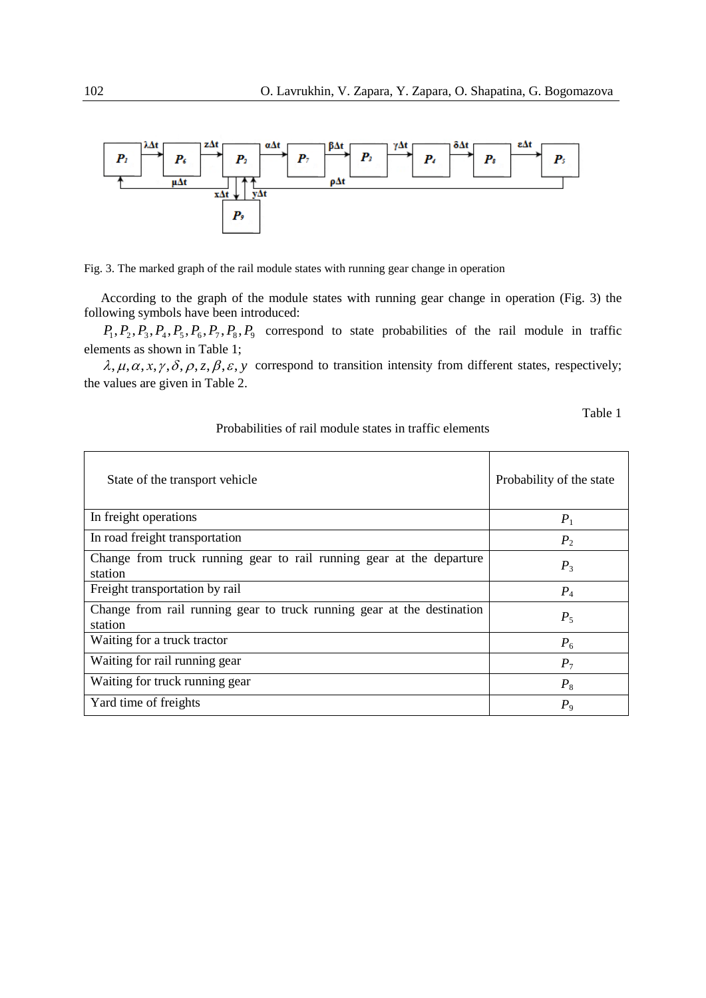



According to the graph of the module states with running gear change in operation (Fig. 3) the following symbols have been introduced:

 $P_1, P_2, P_3, P_4, P_5, P_6, P_7, P_8, P_9$  correspond to state probabilities of the rail module in traffic elements as shown in Table 1;

 $\lambda, \mu, \alpha, x, \gamma, \delta, \rho, z, \beta, \varepsilon, y$  correspond to transition intensity from different states, respectively; the values are given in Table 2.

Table 1

| State of the transport vehicle                                                    | Probability of the state |
|-----------------------------------------------------------------------------------|--------------------------|
| In freight operations                                                             | $P_1$                    |
| In road freight transportation                                                    | P <sub>2</sub>           |
| Change from truck running gear to rail running gear at the departure<br>station   | $P_3$                    |
| Freight transportation by rail                                                    | $P_4$                    |
| Change from rail running gear to truck running gear at the destination<br>station | $P_5$                    |
| Waiting for a truck tractor                                                       | $P_6$                    |
| Waiting for rail running gear                                                     | $P_7$                    |
| Waiting for truck running gear                                                    | $P_8$                    |
| Yard time of freights                                                             | $P_{9}$                  |

### Probabilities of rail module states in traffic elements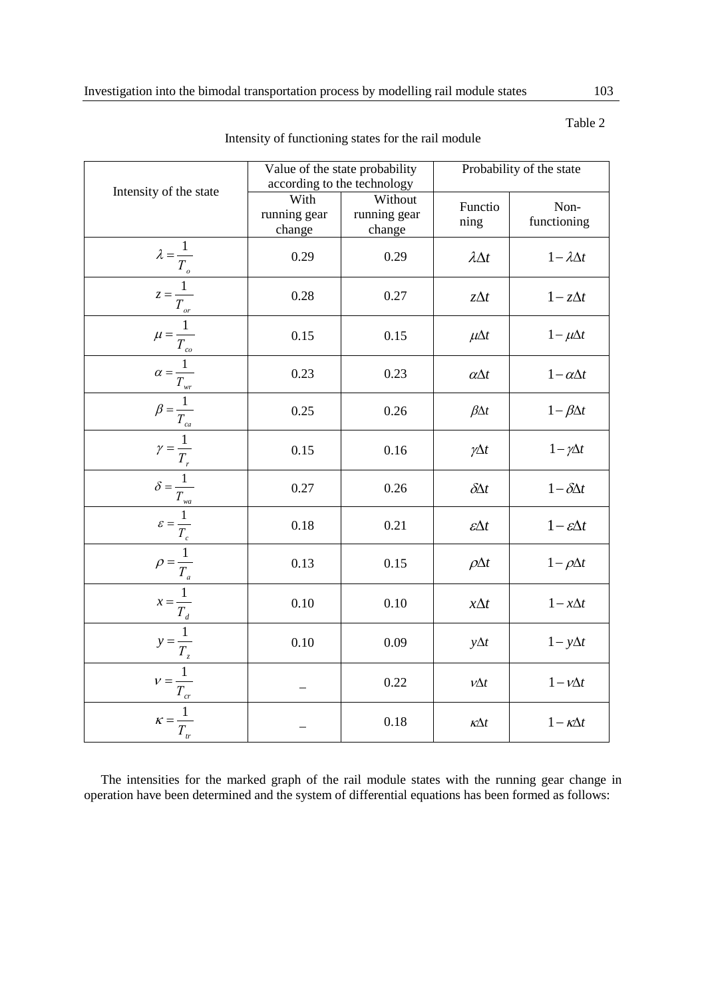|                                                                                                                                                                                                                                                                                                                                                                                                                                                 | Value of the state probability |                             | Probability of the state |                            |
|-------------------------------------------------------------------------------------------------------------------------------------------------------------------------------------------------------------------------------------------------------------------------------------------------------------------------------------------------------------------------------------------------------------------------------------------------|--------------------------------|-----------------------------|--------------------------|----------------------------|
| Intensity of the state                                                                                                                                                                                                                                                                                                                                                                                                                          |                                | according to the technology |                          |                            |
|                                                                                                                                                                                                                                                                                                                                                                                                                                                 | With                           | Without                     | Functio                  | Non-                       |
|                                                                                                                                                                                                                                                                                                                                                                                                                                                 | running gear                   | running gear                | ning                     | functioning                |
|                                                                                                                                                                                                                                                                                                                                                                                                                                                 | change                         | change                      |                          |                            |
|                                                                                                                                                                                                                                                                                                                                                                                                                                                 | 0.29                           | 0.29                        | $\lambda \Delta t$       | $1 - \lambda \Delta t$     |
|                                                                                                                                                                                                                                                                                                                                                                                                                                                 | 0.28                           | 0.27                        | $z\Delta t$              | $1-z\Delta t$              |
|                                                                                                                                                                                                                                                                                                                                                                                                                                                 | 0.15                           | 0.15                        | $\mu \Delta t$           | $1 - \mu \Delta t$         |
|                                                                                                                                                                                                                                                                                                                                                                                                                                                 | 0.23                           | 0.23                        | $\alpha\Delta t$         | $1-\alpha\Delta t$         |
|                                                                                                                                                                                                                                                                                                                                                                                                                                                 | 0.25                           | 0.26                        | $\beta \Delta t$         | $1-\beta\Delta t$          |
|                                                                                                                                                                                                                                                                                                                                                                                                                                                 | 0.15                           | 0.16                        | $\gamma \Delta t$        | $1 - \gamma \Delta t$      |
|                                                                                                                                                                                                                                                                                                                                                                                                                                                 | 0.27                           | 0.26                        | $\delta \!\Delta t$      | $1-\delta\Delta t$         |
|                                                                                                                                                                                                                                                                                                                                                                                                                                                 | 0.18                           | 0.21                        | $\epsilon \Delta t$      | $1 - \varepsilon \Delta t$ |
|                                                                                                                                                                                                                                                                                                                                                                                                                                                 | 0.13                           | 0.15                        | $\rho \Delta t$          | $1 - \rho \Delta t$        |
|                                                                                                                                                                                                                                                                                                                                                                                                                                                 | 0.10                           | 0.10                        | $x\Delta t$              | $1 - x\Delta t$            |
|                                                                                                                                                                                                                                                                                                                                                                                                                                                 | 0.10                           | 0.09                        | $y\Delta t$              | $1 - y\Delta t$            |
| $\begin{aligned}\n\lambda &= \frac{1}{T_o} \\ \frac{z}{T_o} &= \frac{1}{T_{or}} \\ \frac{w}{T_o} &= \frac{1}{T_{or}} \\ \frac{w}{T_o} &= \frac{1}{T_{o}} \\ \frac{w}{T_o} &= \frac{1}{T_{o}} \\ \frac{z}{T_o} &= \frac{1}{T_c} \\ \frac{w}{T_o} &= \frac{1}{T_c} \\ \frac{w}{T_o} &= \frac{1}{T_{o}} \\ \frac{v}{T_o} &= \frac{1}{T_{o}} \\ \frac{v}{T_o} &= \frac{1}{T_{o}} \\ \frac{v}{T_o} &= \frac{1}{T_{o}} \\ \frac{v}{T_o} &= \frac{1}{$ |                                | 0.22                        | $\nu \Delta t$           | $1 - v\Delta t$            |
| $\kappa = \frac{1}{T_{tr}}$                                                                                                                                                                                                                                                                                                                                                                                                                     |                                | 0.18                        | $\kappa \Delta t$        | $1 - \kappa \Delta t$      |

Intensity of functioning states for the rail module

The intensities for the marked graph of the rail module states with the running gear change in operation have been determined and the system of differential equations has been formed as follows:

Table 2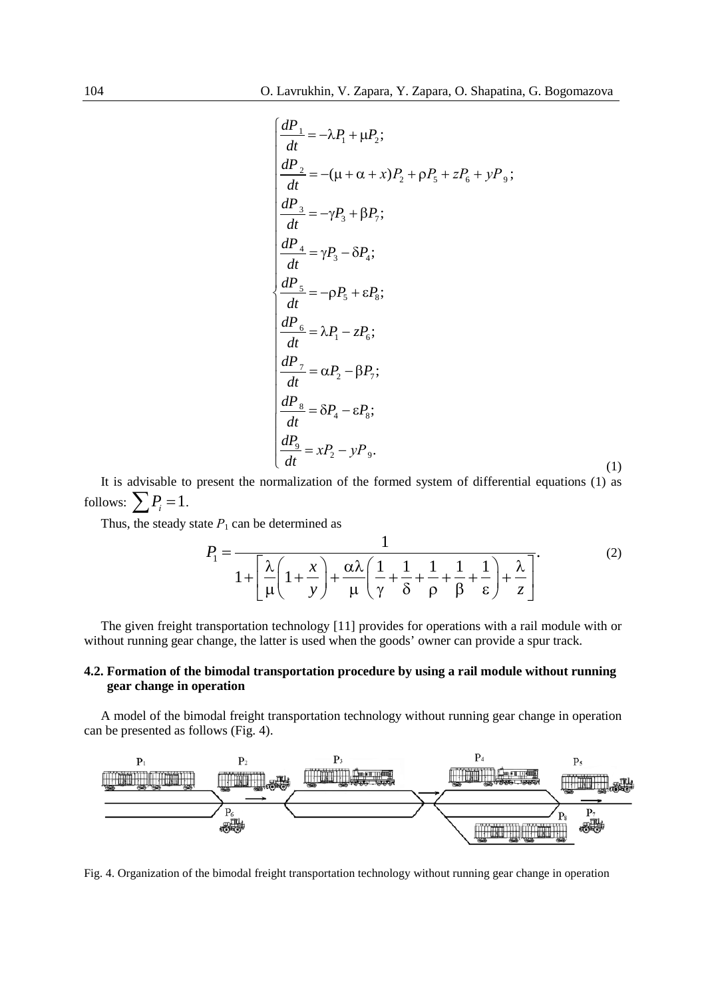$$
\frac{dP_1}{dt} = -\lambda P_1 + \mu P_2;
$$
\n
$$
\frac{dP_2}{dt} = -(\mu + \alpha + x)P_2 + \rho P_5 + zP_6 + yP_9;
$$
\n
$$
\frac{dP_3}{dt} = -\gamma P_3 + \beta P_7;
$$
\n
$$
\frac{dP_4}{dt} = \gamma P_3 - \delta P_4;
$$
\n
$$
\frac{dP_5}{dt} = -\rho P_5 + \varepsilon P_8;
$$
\n
$$
\frac{dP_6}{dt} = \lambda P_1 - zP_6;
$$
\n
$$
\frac{dP_7}{dt} = \alpha P_2 - \beta P_7;
$$
\n
$$
\frac{dP_8}{dt} = \delta P_4 - \varepsilon P_8;
$$
\n
$$
\frac{dP_9}{dt} = xP_2 - yP_9.
$$
\n(1)

It is advisable to present the normalization of the formed system of differential equations (1) as follows:  $\sum P_i = 1$ .

Thus, the steady state  $P_1$  can be determined as

$$
P_1 = \frac{1}{1 + \left[\frac{\lambda}{\mu} \left(1 + \frac{x}{y}\right) + \frac{\alpha \lambda}{\mu} \left(\frac{1}{\gamma} + \frac{1}{\delta} + \frac{1}{\rho} + \frac{1}{\beta} + \frac{1}{\epsilon}\right) + \frac{\lambda}{z}\right]}.
$$
 (2)

The given freight transportation technology [11] provides for operations with a rail module with or without running gear change, the latter is used when the goods' owner can provide a spur track.

## **4.2. Formation of the bimodal transportation procedure by using a rail module without running gear change in operation**

A model of the bimodal freight transportation technology without running gear change in operation can be presented as follows (Fig. 4).



Fig. 4. Organization of the bimodal freight transportation technology without running gear change in operation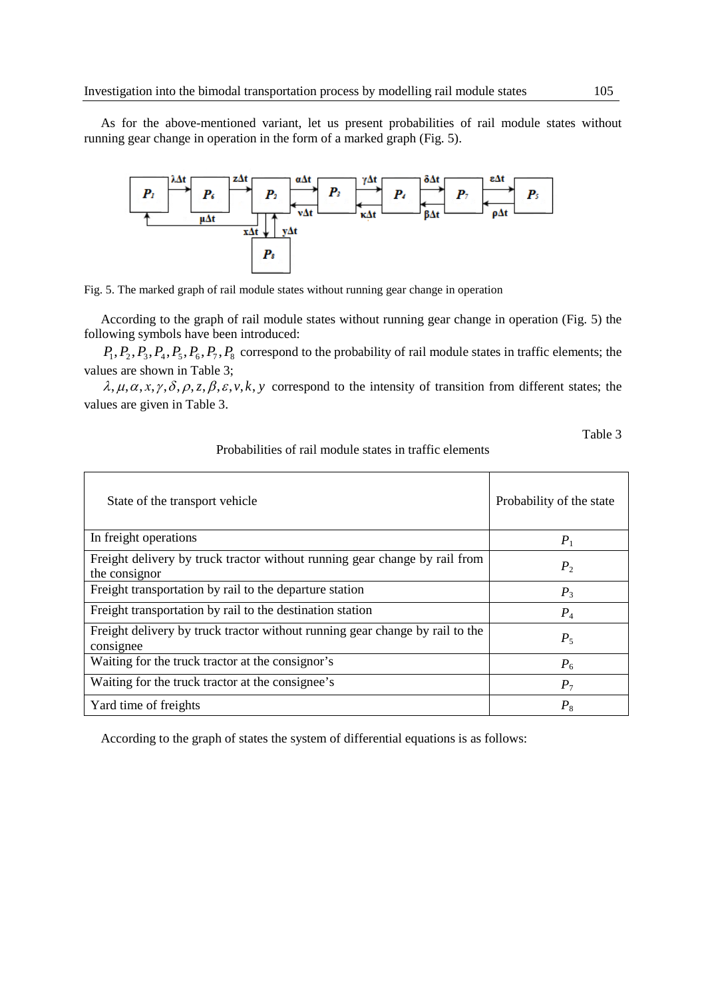As for the above-mentioned variant, let us present probabilities of rail module states without running gear change in operation in the form of a marked graph (Fig. 5).



Fig. 5. The marked graph of rail module states without running gear change in operation

According to the graph of rail module states without running gear change in operation (Fig. 5) the following symbols have been introduced:

 $P_1, P_2, P_3, P_4, P_5, P_6, P_7, P_8$  correspond to the probability of rail module states in traffic elements; the values are shown in Table 3;

 $\lambda, \mu, \alpha, x, \gamma, \delta, \rho, z, \beta, \varepsilon, v, k, y$  correspond to the intensity of transition from different states; the values are given in Table 3.

Table 3

| State of the transport vehicle                                                              | Probability of the state |
|---------------------------------------------------------------------------------------------|--------------------------|
| In freight operations                                                                       | $P_1$                    |
| Freight delivery by truck tractor without running gear change by rail from<br>the consignor | P <sub>2</sub>           |
| Freight transportation by rail to the departure station                                     | $P_3$                    |
| Freight transportation by rail to the destination station                                   | $P_4$                    |
| Freight delivery by truck tractor without running gear change by rail to the<br>consignee   | $P_5$                    |
| Waiting for the truck tractor at the consignor's                                            | $P_6$                    |
| Waiting for the truck tractor at the consignee's                                            | $P_7$                    |
| Yard time of freights                                                                       | $P_8$                    |

#### Probabilities of rail module states in traffic elements

According to the graph of states the system of differential equations is as follows: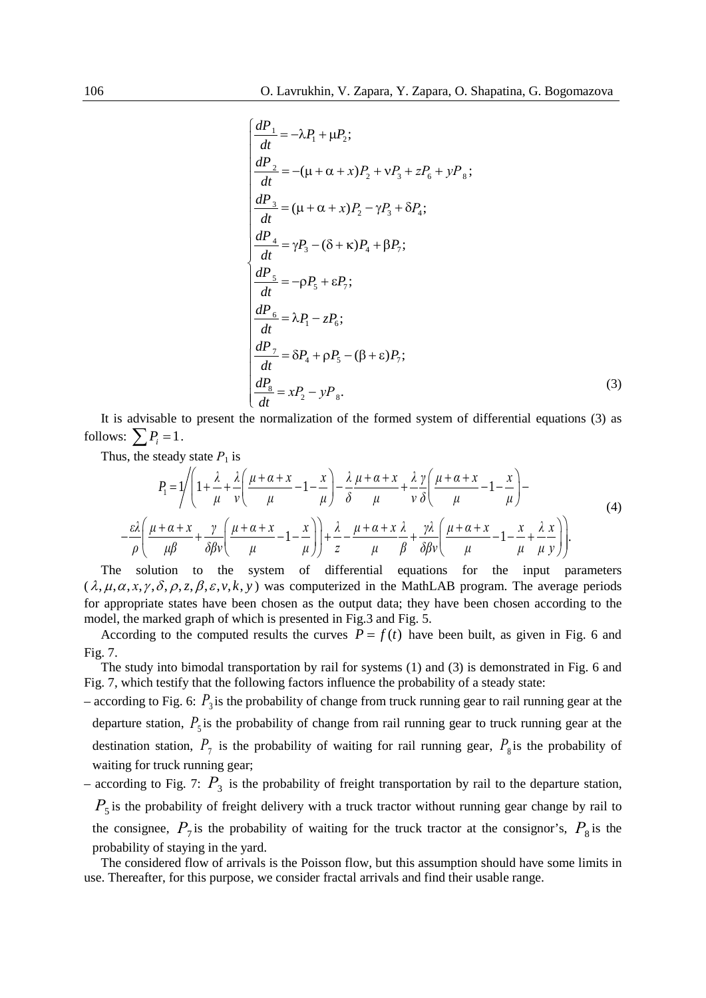$$
\begin{cases}\n\frac{dP_1}{dt} = -\lambda P_1 + \mu P_2; \\
\frac{dP_2}{dt} = -(\mu + \alpha + x)P_2 + \nu P_3 + zP_6 + yP_8; \\
\frac{dP_3}{dt} = (\mu + \alpha + x)P_2 - \gamma P_3 + \delta P_4; \\
\frac{dP_4}{dt} = \gamma P_3 - (\delta + \kappa)P_4 + \beta P_7; \\
\frac{dP_5}{dt} = -\rho P_5 + \varepsilon P_7; \\
\frac{dP_6}{dt} = \lambda P_1 - zP_6; \\
\frac{dP_7}{dt} = \delta P_4 + \rho P_5 - (\beta + \varepsilon)P_7; \\
\frac{dP_8}{dt} = xP_2 - yP_8.\n\end{cases} (3)
$$

It is advisable to present the normalization of the formed system of differential equations (3) as follows:  $\sum P_i = 1$ .

Thus, the steady state  $P_1$  is

$$
P_{1} = \sqrt{\left(1 + \frac{\lambda}{\mu} + \frac{\lambda}{\nu}\left(\frac{\mu + \alpha + x}{\mu} - 1 - \frac{x}{\mu}\right) - \frac{\lambda}{\delta}\frac{\mu + \alpha + x}{\mu} + \frac{\lambda}{\nu}\frac{\gamma}{\delta}\left(\frac{\mu + \alpha + x}{\mu} - 1 - \frac{x}{\mu}\right) - \frac{\varepsilon\lambda}{\rho}\left(\frac{\mu + \alpha + x}{\mu} + \frac{\gamma}{\delta\beta\nu}\left(\frac{\mu + \alpha + x}{\mu} - 1 - \frac{x}{\mu}\right)\right) + \frac{\lambda}{z} - \frac{\mu + \alpha + x}{\mu}\frac{\lambda}{\beta} + \frac{\gamma\lambda}{\delta\beta\nu}\left(\frac{\mu + \alpha + x}{\mu} - 1 - \frac{x}{\mu} + \frac{\lambda}{\mu}\frac{x}{\nu}\right)\right)}{(4)}
$$

The solution to the system of differential equations for the input parameters  $(\lambda, \mu, \alpha, x, \gamma, \delta, \rho, z, \beta, \varepsilon, v, k, v)$  was computerized in the MathLAB program. The average periods for appropriate states have been chosen as the output data; they have been chosen according to the model, the marked graph of which is presented in Fig.3 and Fig. 5.

According to the computed results the curves  $P = f(t)$  have been built, as given in Fig. 6 and Fig. 7.

The study into bimodal transportation by rail for systems (1) and (3) is demonstrated in Fig. 6 and Fig. 7, which testify that the following factors influence the probability of a steady state:

- according to Fig. 6:  $P_3$  is the probability of change from truck running gear to rail running gear at the departure station,  $P_5$  is the probability of change from rail running gear to truck running gear at the destination station,  $P_7$  is the probability of waiting for rail running gear,  $P_8$  is the probability of waiting for truck running gear;
- according to Fig. 7:  $P_3$  is the probability of freight transportation by rail to the departure station,  $P_5$  is the probability of freight delivery with a truck tractor without running gear change by rail to the consignee,  $P_7$  is the probability of waiting for the truck tractor at the consignor's,  $P_8$  is the probability of staying in the yard.

The considered flow of arrivals is the Poisson flow, but this assumption should have some limits in use. Thereafter, for this purpose, we consider fractal arrivals and find their usable range.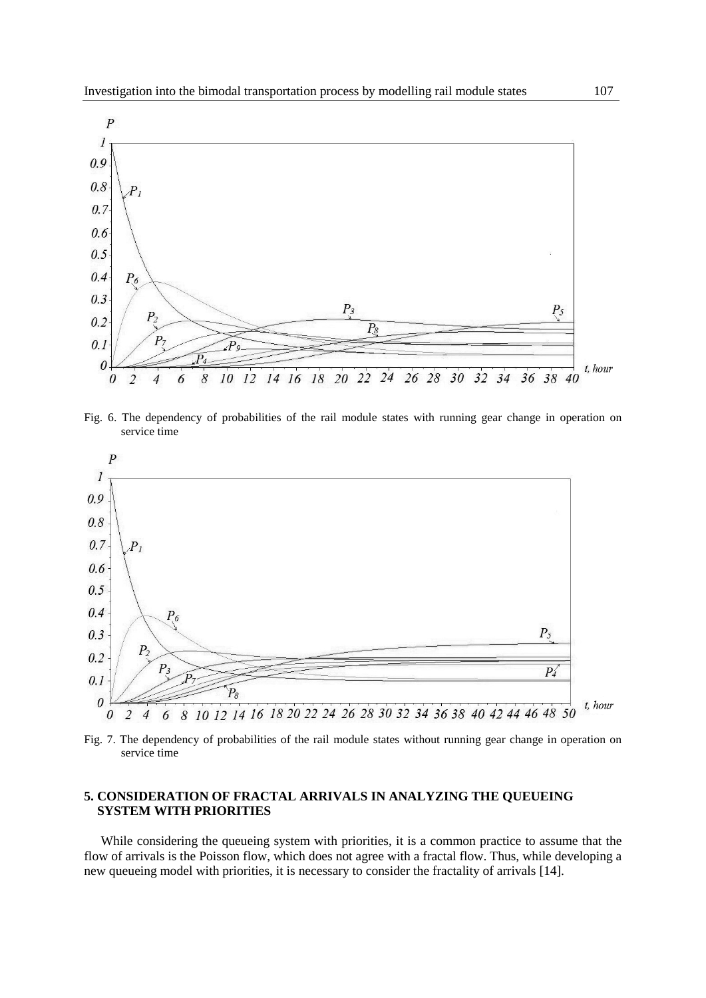

Fig. 6. The dependency of probabilities of the rail module states with running gear change in operation on service time



Fig. 7. The dependency of probabilities of the rail module states without running gear change in operation on service time

# **5. CONSIDERATION OF FRACTAL ARRIVALS IN ANALYZING THE QUEUEING SYSTEM WITH PRIORITIES**

While considering the queueing system with priorities, it is a common practice to assume that the flow of arrivals is the Poisson flow, which does not agree with a fractal flow. Thus, while developing a new queueing model with priorities, it is necessary to consider the fractality of arrivals [14].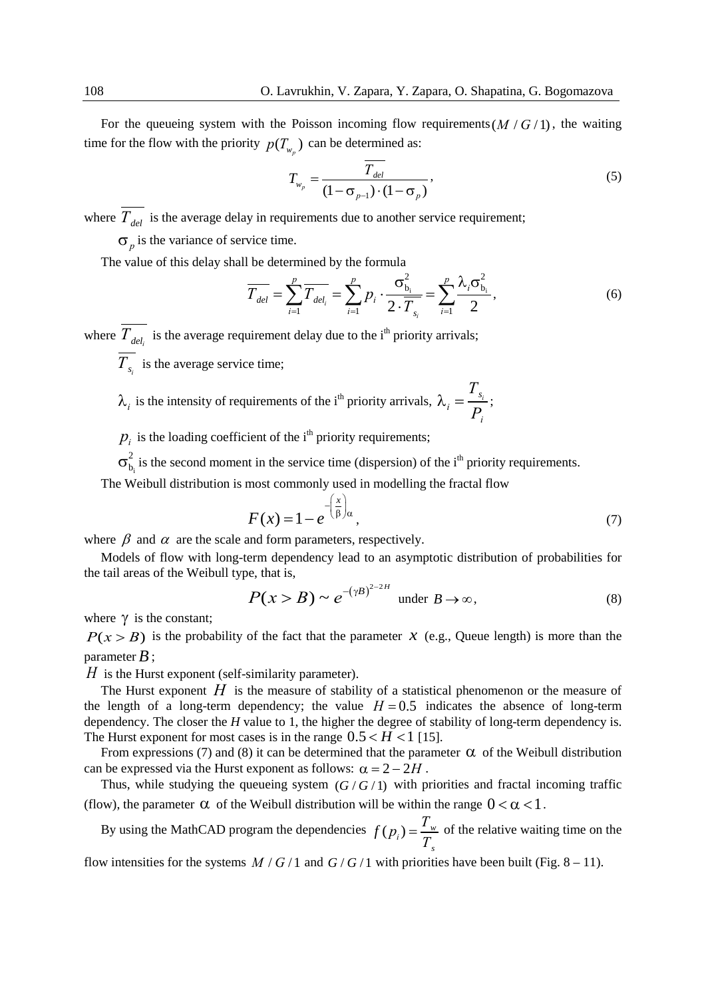For the queueing system with the Poisson incoming flow requirements( $M/G/1$ ), the waiting time for the flow with the priority  $p(T_{w})$  can be determined as:

$$
T_{w_p} = \frac{\overline{T_{del}}}{(1 - \sigma_{p-1}) \cdot (1 - \sigma_p)},
$$
\n(5)

where  $\overline{T_{del}}$  is the average delay in requirements due to another service requirement;

σ*<sup>р</sup>* is the variance of service time.

The value of this delay shall be determined by the formula

$$
\overline{T_{del}} = \sum_{i=1}^{p} \overline{T_{del_i}} = \sum_{i=1}^{p} p_i \cdot \frac{\sigma_{b_i}^2}{2 \cdot \overline{T_{s_i}}} = \sum_{i=1}^{p} \frac{\lambda_i \sigma_{b_i}^2}{2},
$$
(6)

where  $T_{del_i}$  is the average requirement delay due to the i<sup>th</sup> priority arrivals;

 $\overline{T_s}$  is the average service time;

$$
\lambda_i
$$
 is the intensity of requirements of the i<sup>th</sup> priority arrivals,  $\lambda_i = \frac{T_{s_i}}{P_i}$ ;

 $p_i$  is the loading coefficient of the i<sup>th</sup> priority requirements;

 $\sigma_{b_i}^2$  is the second moment in the service time (dispersion) of the i<sup>th</sup> priority requirements.

The Weibull distribution is most commonly used in modelling the fractal flow

$$
F(x) = 1 - e^{-\left(\frac{x}{\beta}\right)\alpha},\tag{7}
$$

where  $\beta$  and  $\alpha$  are the scale and form parameters, respectively.

Models of flow with long-term dependency lead to an asymptotic distribution of probabilities for the tail areas of the Weibull type, that is,

$$
P(x > B) \sim e^{-(\gamma B)^{2-2H}} \text{ under } B \to \infty,
$$
 (8)

where  $\gamma$  is the constant;

 $P(x > B)$  is the probability of the fact that the parameter *x* (e.g., Queue length) is more than the parameter  $B$  :

*H* is the Hurst exponent (self-similarity parameter).

The Hurst exponent  $H$  is the measure of stability of a statistical phenomenon or the measure of the length of a long-term dependency; the value  $H = 0.5$  indicates the absence of long-term dependency. The closer the *H* value to 1, the higher the degree of stability of long-term dependency is. The Hurst exponent for most cases is in the range  $0.5 < H < 1$  [15].

From expressions (7) and (8) it can be determined that the parameter  $\alpha$  of the Weibull distribution can be expressed via the Hurst exponent as follows:  $\alpha = 2 - 2H$ .

Thus, while studying the queueing system  $(G/G/1)$  with priorities and fractal incoming traffic (flow), the parameter  $\alpha$  of the Weibull distribution will be within the range  $0 < \alpha < 1$ .

By using the MathCAD program the dependencies  $f(p_i) = \frac{I_w}{T}$  $f(p_i) = \frac{T_w}{T_s}$  of the relative waiting time on the

flow intensities for the systems  $M/G/1$  and  $G/G/1$  with priorities have been built (Fig. 8 – 11).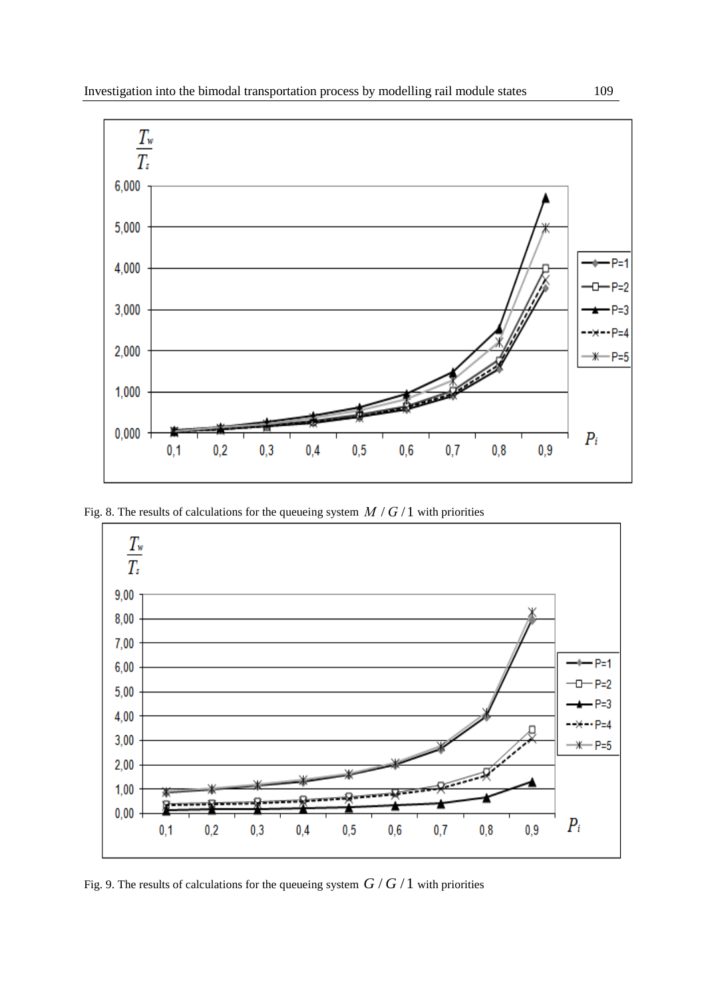

Fig. 8. The results of calculations for the queueing system  $M/G/1$  with priorities



Fig. 9. The results of calculations for the queueing system  $G/G/1$  with priorities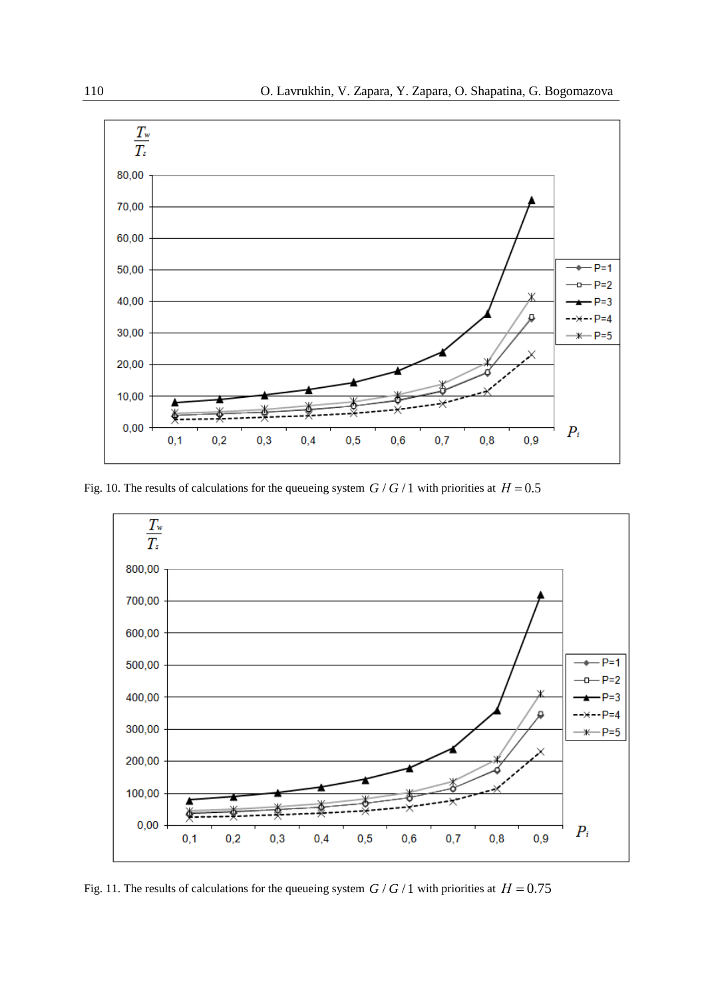

Fig. 10. The results of calculations for the queueing system  $G/G/1$  with priorities at  $H = 0.5$ 



Fig. 11. The results of calculations for the queueing system  $G/G/1$  with priorities at  $H = 0.75$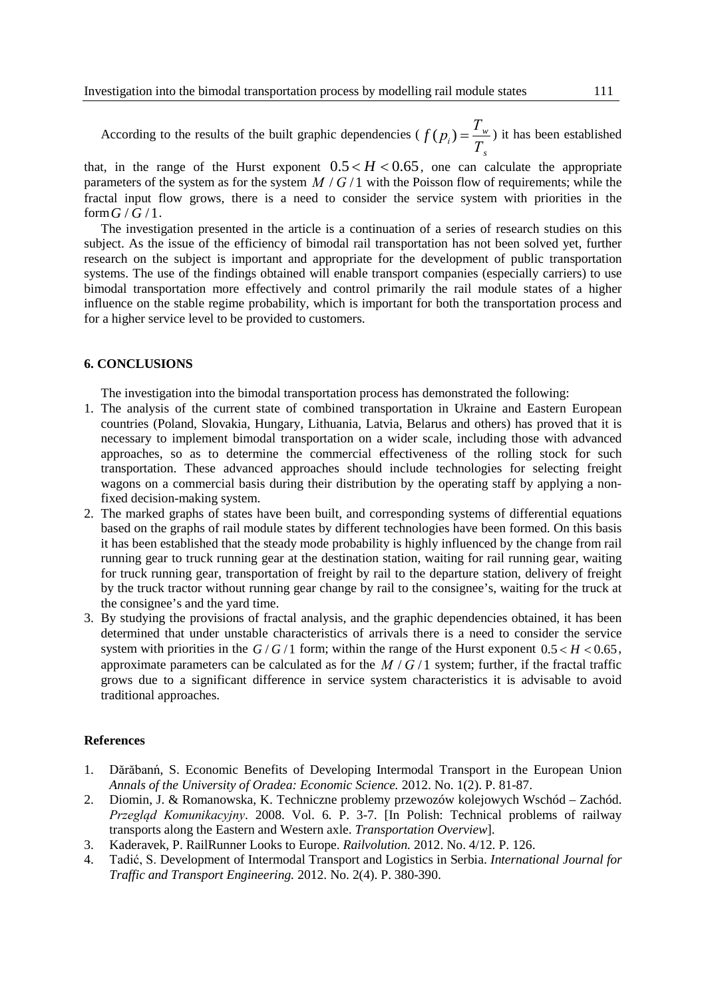According to the results of the built graphic dependencies ( $f(p_i) = \frac{I_w}{T}$  $f(p_i) = \frac{T_w}{T_s}$  it has been established

that, in the range of the Hurst exponent  $0.5 < H < 0.65$ , one can calculate the appropriate parameters of the system as for the system  $M/G/1$  with the Poisson flow of requirements; while the fractal input flow grows, there is a need to consider the service system with priorities in the form  $G/G/1$ .

The investigation presented in the article is a continuation of a series of research studies on this subject. As the issue of the efficiency of bimodal rail transportation has not been solved yet, further research on the subject is important and appropriate for the development of public transportation systems. The use of the findings obtained will enable transport companies (especially carriers) to use bimodal transportation more effectively and control primarily the rail module states of a higher influence on the stable regime probability, which is important for both the transportation process and for a higher service level to be provided to customers.

#### **6. CONCLUSIONS**

The investigation into the bimodal transportation process has demonstrated the following:

- 1. The analysis of the current state of combined transportation in Ukraine and Eastern European countries (Poland, Slovakia, Hungary, Lithuania, Latvia, Belarus and others) has proved that it is necessary to implement bimodal transportation on a wider scale, including those with advanced approaches, so as to determine the commercial effectiveness of the rolling stock for such transportation. These advanced approaches should include technologies for selecting freight wagons on a commercial basis during their distribution by the operating staff by applying a nonfixed decision-making system.
- 2. The marked graphs of states have been built, and corresponding systems of differential equations based on the graphs of rail module states by different technologies have been formed. On this basis it has been established that the steady mode probability is highly influenced by the change from rail running gear to truck running gear at the destination station, waiting for rail running gear, waiting for truck running gear, transportation of freight by rail to the departure station, delivery of freight by the truck tractor without running gear change by rail to the consignee's, waiting for the truck at the consignee's and the yard time.
- 3. By studying the provisions of fractal analysis, and the graphic dependencies obtained, it has been determined that under unstable characteristics of arrivals there is a need to consider the service system with priorities in the  $G/G/1$  form; within the range of the Hurst exponent  $0.5 < H < 0.65$ , approximate parameters can be calculated as for the  $M/G/1$  system; further, if the fractal traffic grows due to a significant difference in service system characteristics it is advisable to avoid traditional approaches.

#### **References**

- 1. Dărăbanń, S. Economic Benefits of Developing Intermodal Transport in the European Union *[Annals of the University of Oradea: Economic Science.](https://doaj.org/toc/1582-5450)* 2012. No. 1(2). P. 81-87.
- 2. Diomin, J. & [Romanowska, K.](http://yadda.icm.edu.pl/baztech/contributor/bdb5c91eaa252b2dcbd9e7bff65ff438) Techniczne problemy przewozów kolejowych Wschód Zachód. *Przegląd Komunikacyjny*. 2008. Vol. 6. P. 3-7. [In Polish: Technical problems of railway transports along the Eastern and Western axle. *Transportation Overview*].
- 3. Kaderavek, P. RailRunner Looks to Europe. *Railvolution.* 2012. No. 4/12. P. 126.
- 4. Tadić, S. Development of Intermodal Transport and Logistics in Serbia. *[International Journal for](https://doaj.org/toc/2217-5652)  [Traffic and Transport Engineering.](https://doaj.org/toc/2217-5652)* 2012. No. 2(4). P. 380-390.